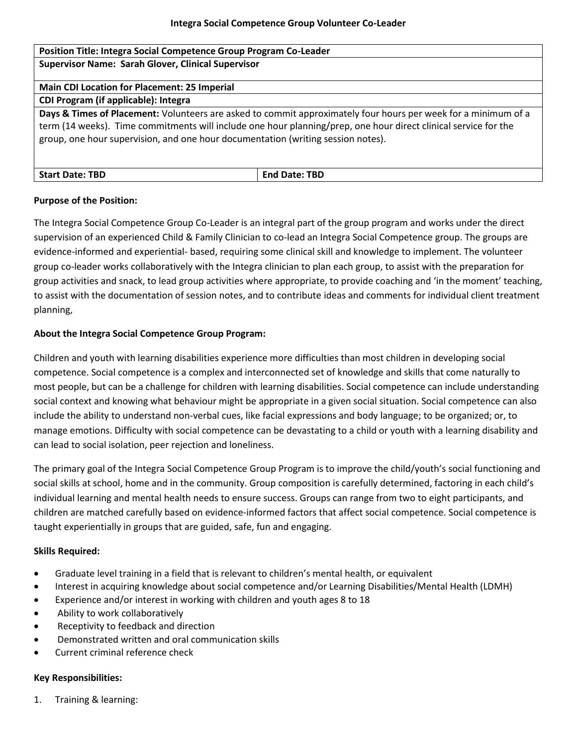| Position Title: Integra Social Competence Group Program Co-Leader                                                                                                                                                                                                                                                     |                      |
|-----------------------------------------------------------------------------------------------------------------------------------------------------------------------------------------------------------------------------------------------------------------------------------------------------------------------|----------------------|
| <b>Supervisor Name: Sarah Glover, Clinical Supervisor</b>                                                                                                                                                                                                                                                             |                      |
| <b>Main CDI Location for Placement: 25 Imperial</b>                                                                                                                                                                                                                                                                   |                      |
| CDI Program (if applicable): Integra                                                                                                                                                                                                                                                                                  |                      |
| Days & Times of Placement: Volunteers are asked to commit approximately four hours per week for a minimum of a<br>term (14 weeks). Time commitments will include one hour planning/prep, one hour direct clinical service for the<br>group, one hour supervision, and one hour documentation (writing session notes). |                      |
| <b>Start Date: TBD</b>                                                                                                                                                                                                                                                                                                | <b>End Date: TBD</b> |

#### **Purpose of the Position:**

The Integra Social Competence Group Co-Leader is an integral part of the group program and works under the direct supervision of an experienced Child & Family Clinician to co-lead an Integra Social Competence group. The groups are evidence-informed and experiential- based, requiring some clinical skill and knowledge to implement. The volunteer group co-leader works collaboratively with the Integra clinician to plan each group, to assist with the preparation for group activities and snack, to lead group activities where appropriate, to provide coaching and 'in the moment' teaching, to assist with the documentation of session notes, and to contribute ideas and comments for individual client treatment planning,

#### **About the Integra Social Competence Group Program:**

Children and youth with learning disabilities experience more difficulties than most children in developing social competence. Social competence is a complex and interconnected set of knowledge and skills that come naturally to most people, but can be a challenge for children with learning disabilities. Social competence can include understanding social context and knowing what behaviour might be appropriate in a given social situation. Social competence can also include the ability to understand non-verbal cues, like facial expressions and body language; to be organized; or, to manage emotions. Difficulty with social competence can be devastating to a child or youth with a learning disability and can lead to social isolation, peer rejection and loneliness.

The primary goal of the Integra Social Competence Group Program is to improve the child/youth's social functioning and social skills at school, home and in the community. Group composition is carefully determined, factoring in each child's individual learning and mental health needs to ensure success. Groups can range from two to eight participants, and children are matched carefully based on evidence-informed factors that affect social competence. Social competence is taught experientially in groups that are guided, safe, fun and engaging.

#### **Skills Required:**

- Graduate level training in a field that is relevant to children's mental health, or equivalent
- Interest in acquiring knowledge about social competence and/or Learning Disabilities/Mental Health (LDMH)
- Experience and/or interest in working with children and youth ages 8 to 18
- Ability to work collaboratively
- Receptivity to feedback and direction
- Demonstrated written and oral communication skills
- Current criminal reference check

# **Key Responsibilities:**

1. Training & learning: